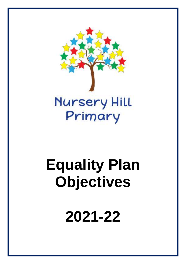

## **Equality Plan Objectives**

**2021-22**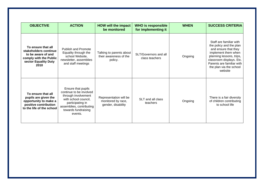| <b>OBJECTIVE</b>                                                                                                            | <b>ACTION</b>                                                                                                                                                                  | <b>HOW will the impact</b><br>be monitored                         | <b>WHO is responsible</b><br>for implementing it | <b>WHEN</b> | <b>SUCCESS CRITERIA</b>                                                                                                                                                                                                      |
|-----------------------------------------------------------------------------------------------------------------------------|--------------------------------------------------------------------------------------------------------------------------------------------------------------------------------|--------------------------------------------------------------------|--------------------------------------------------|-------------|------------------------------------------------------------------------------------------------------------------------------------------------------------------------------------------------------------------------------|
| To ensure that all<br>stakeholders continue<br>to be aware of and<br>comply with the Public<br>sector Equality Duty<br>2010 | <b>Publish and Promote</b><br>Equality through the<br>school Website,<br>newsletter, assemblies<br>and staff meetings                                                          | Talking to parents about<br>their awareness of the<br>policy.      | SLT/Governors and all<br>class teachers          | Ongoing     | Staff are familiar with<br>the policy and the plan<br>and ensure that they<br>implement them when<br>planning lessons, trips,<br>classroom displays. Etc.<br>Parents are familiar with<br>the plan via the school<br>website |
| To ensure that all<br>pupils are given the<br>opportunity to make a<br>positive contribution<br>to the life of the school   | Ensure that pupils<br>continue to be involved<br>through involvement<br>with school council,<br>participating in<br>assemblies, contributing<br>towards fundraising<br>events. | Representation will be<br>monitored by race,<br>gender, disability | SLT and all class<br>teachers                    | Ongoing     | There is a fair diversity<br>of children contributing<br>to school life                                                                                                                                                      |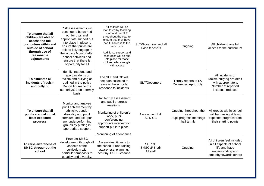| To ensure that all<br>children are able to<br>access the full<br>curriculum within and<br>outside of school<br>through use of<br>reasonable | Risk assessments will<br>continue to be carried<br>out for trips and<br>appropriate support put<br>into place in place to<br>ensure that pupils are<br>able to fully engage in<br>the activity Monitor after | All children will be<br>monitored by teaching<br>staff and the SLT<br>throughout the year to<br>ensure that they have<br>had full access to the<br>curriculum.<br>Additional support and                 | SLT/Governors and all<br>class teachers | Ongoing                                                                  | All children have full<br>access to the curriculum                                                                     |
|---------------------------------------------------------------------------------------------------------------------------------------------|--------------------------------------------------------------------------------------------------------------------------------------------------------------------------------------------------------------|----------------------------------------------------------------------------------------------------------------------------------------------------------------------------------------------------------|-----------------------------------------|--------------------------------------------------------------------------|------------------------------------------------------------------------------------------------------------------------|
| adjustments                                                                                                                                 | school activities and<br>ensure that there is<br>opportunity for all                                                                                                                                         | resources will be put<br>into place for those<br>children who struggle<br>with access                                                                                                                    |                                         |                                                                          |                                                                                                                        |
| To eliminate all<br>incidents of racism<br>and bullying                                                                                     | Identify, respond and<br>report incidents of<br>racism and bullying as<br>outlined in the policy<br>Report figures to the<br>authority/GB on a termly<br>basis                                               | The SLT and GB will<br>see data collected to<br>assess the schools<br>response to incidents                                                                                                              | SLT/Governors                           | Termly reports to LA<br>December, April, July                            | All incidents of<br>racism/bullying are dealt<br>with appropriately.<br>Number of reported<br>incidents reduced        |
| To ensure that all<br>pupils are making at<br>least expected<br>progress                                                                    | Monitor and analyse<br>pupil achievement by<br>ethnicity, gender<br>disability and pupil<br>premium and act upon<br>any underperforming<br>groups by putting in<br>appropriate support                       | Half termly assessment<br>and pupil progress<br>meetings.<br>Monitoring of children's<br>work, pupil<br>conferencing,<br>appropriate intervention<br>support put into place.<br>Monitoring of attendance | Assessment Ldr<br>SLT/GB                | Ongoing throughout the<br>year<br>Pupil progress meetings<br>half termly | All groups within school<br>will be making at least<br>expected progress from<br>their starting points                 |
| To raise awareness of<br><b>SMSC throughout the</b><br>school                                                                               | Promote SMSC<br>development through all<br>aspects of the<br>curriculum with<br>particular emphasis to<br>equality and diversity.                                                                            | Assemblies, Guests to<br>the school, Fund raising<br>awareness, planning,<br>scrutiny, PSHE lessons                                                                                                      | SLT/GB<br>SMSC/RE Ldr<br>All staff      | Ongoing                                                                  | All children feel included<br>in all aspects of school<br>life and have<br>understanding and<br>empathy towards others |